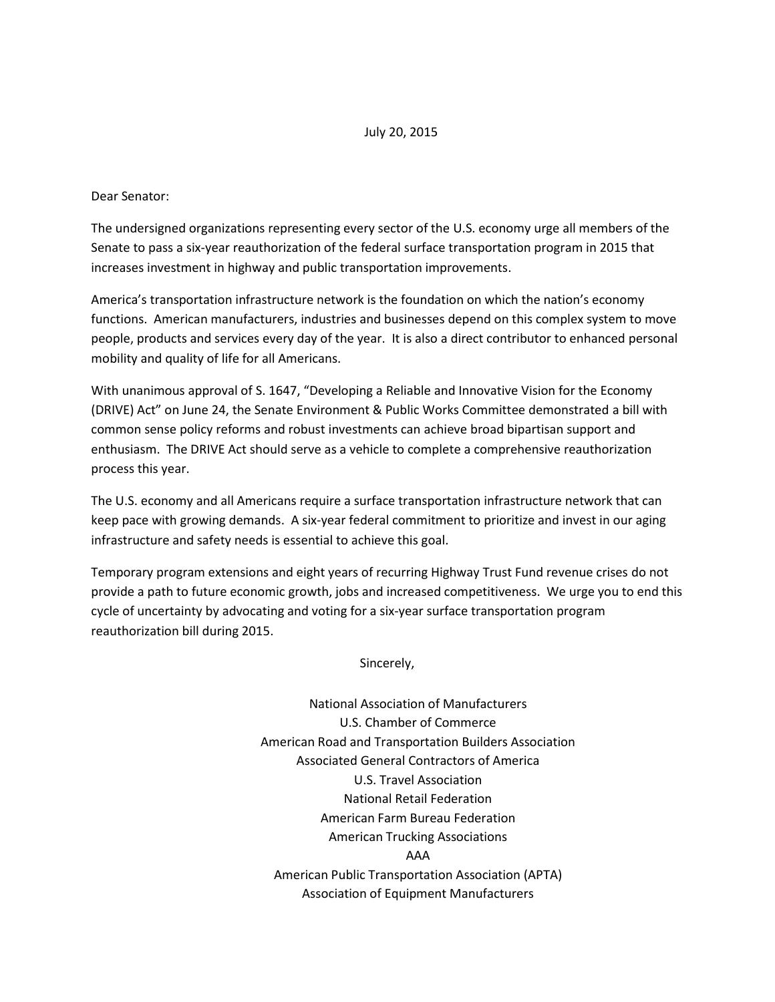## July 20, 2015

## Dear Senator:

The undersigned organizations representing every sector of the U.S. economy urge all members of the Senate to pass a six-year reauthorization of the federal surface transportation program in 2015 that increases investment in highway and public transportation improvements.

America's transportation infrastructure network is the foundation on which the nation's economy functions. American manufacturers, industries and businesses depend on this complex system to move people, products and services every day of the year. It is also a direct contributor to enhanced personal mobility and quality of life for all Americans.

With unanimous approval of S. 1647, "Developing a Reliable and Innovative Vision for the Economy (DRIVE) Act" on June 24, the Senate Environment & Public Works Committee demonstrated a bill with common sense policy reforms and robust investments can achieve broad bipartisan support and enthusiasm. The DRIVE Act should serve as a vehicle to complete a comprehensive reauthorization process this year.

The U.S. economy and all Americans require a surface transportation infrastructure network that can keep pace with growing demands. A six-year federal commitment to prioritize and invest in our aging infrastructure and safety needs is essential to achieve this goal.

Temporary program extensions and eight years of recurring Highway Trust Fund revenue crises do not provide a path to future economic growth, jobs and increased competitiveness. We urge you to end this cycle of uncertainty by advocating and voting for a six-year surface transportation program reauthorization bill during 2015.

Sincerely,

National Association of Manufacturers U.S. Chamber of Commerce American Road and Transportation Builders Association Associated General Contractors of America U.S. Travel Association National Retail Federation American Farm Bureau Federation American Trucking Associations AAA American Public Transportation Association (APTA) Association of Equipment Manufacturers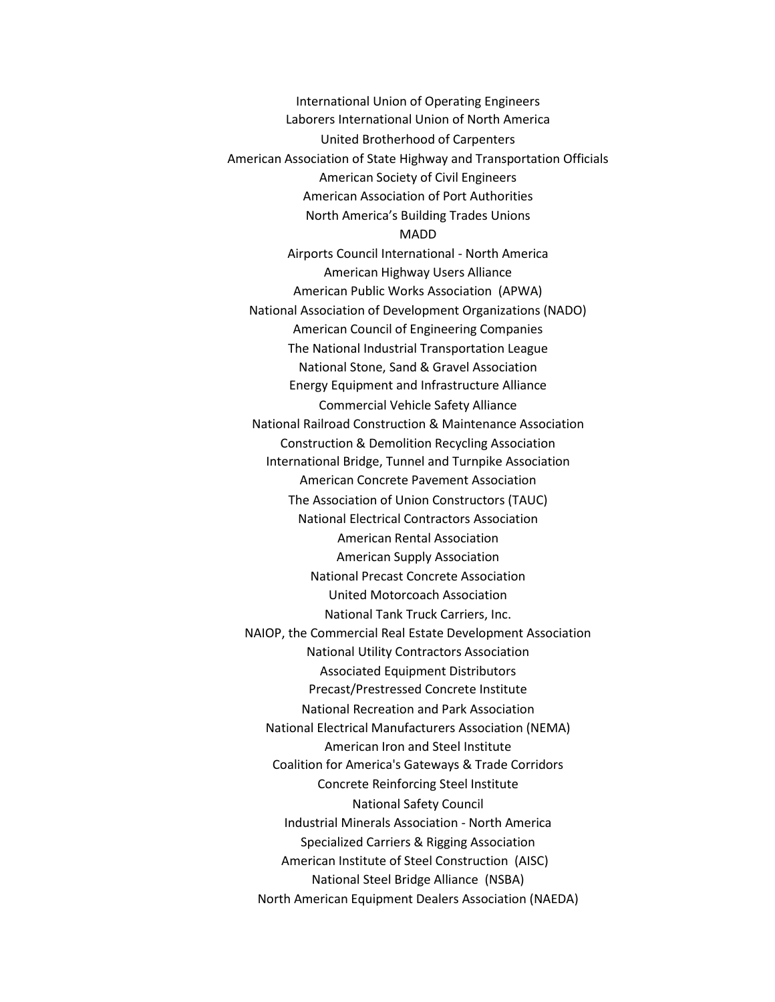International Union of Operating Engineers Laborers International Union of North America United Brotherhood of Carpenters American Association of State Highway and Transportation Officials American Society of Civil Engineers American Association of Port Authorities North America's Building Trades Unions MADD Airports Council International - North America American Highway Users Alliance American Public Works Association (APWA) National Association of Development Organizations (NADO) American Council of Engineering Companies The National Industrial Transportation League National Stone, Sand & Gravel Association Energy Equipment and Infrastructure Alliance Commercial Vehicle Safety Alliance National Railroad Construction & Maintenance Association Construction & Demolition Recycling Association International Bridge, Tunnel and Turnpike Association American Concrete Pavement Association The Association of Union Constructors (TAUC) National Electrical Contractors Association American Rental Association American Supply Association National Precast Concrete Association United Motorcoach Association National Tank Truck Carriers, Inc. NAIOP, the Commercial Real Estate Development Association National Utility Contractors Association Associated Equipment Distributors Precast/Prestressed Concrete Institute National Recreation and Park Association National Electrical Manufacturers Association (NEMA) American Iron and Steel Institute Coalition for America's Gateways & Trade Corridors Concrete Reinforcing Steel Institute National Safety Council Industrial Minerals Association - North America Specialized Carriers & Rigging Association American Institute of Steel Construction (AISC) National Steel Bridge Alliance (NSBA) North American Equipment Dealers Association (NAEDA)